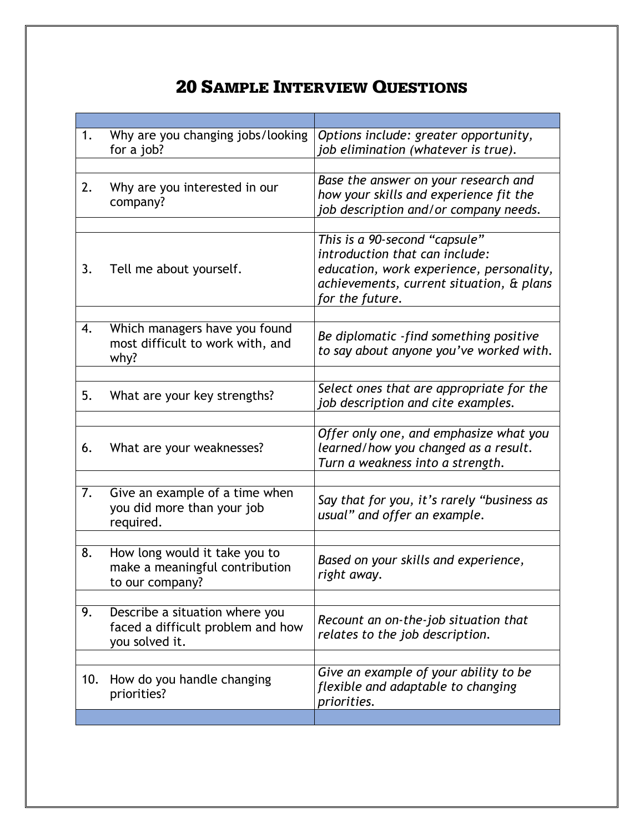## **20 SAMPLE INTERVIEW QUESTIONS**

| 1.  | Why are you changing jobs/looking<br>for a job?                                       | Options include: greater opportunity,<br>job elimination (whatever is true).                                                                                               |
|-----|---------------------------------------------------------------------------------------|----------------------------------------------------------------------------------------------------------------------------------------------------------------------------|
|     |                                                                                       |                                                                                                                                                                            |
| 2.  | Why are you interested in our<br>company?                                             | Base the answer on your research and<br>how your skills and experience fit the<br>job description and/or company needs.                                                    |
|     |                                                                                       |                                                                                                                                                                            |
| 3.  | Tell me about yourself.                                                               | This is a 90-second "capsule"<br>introduction that can include:<br>education, work experience, personality,<br>achievements, current situation, & plans<br>for the future. |
|     |                                                                                       |                                                                                                                                                                            |
| 4.  | Which managers have you found<br>most difficult to work with, and<br>why?             | Be diplomatic -find something positive<br>to say about anyone you've worked with.                                                                                          |
|     |                                                                                       |                                                                                                                                                                            |
| 5.  | What are your key strengths?                                                          | Select ones that are appropriate for the<br>job description and cite examples.                                                                                             |
|     |                                                                                       |                                                                                                                                                                            |
| 6.  | What are your weaknesses?                                                             | Offer only one, and emphasize what you<br>learned/how you changed as a result.<br>Turn a weakness into a strength.                                                         |
|     |                                                                                       |                                                                                                                                                                            |
| 7.  | Give an example of a time when<br>you did more than your job<br>required.             | Say that for you, it's rarely "business as<br>usual" and offer an example.                                                                                                 |
|     |                                                                                       |                                                                                                                                                                            |
| 8.  | How long would it take you to<br>make a meaningful contribution<br>to our company?    | Based on your skills and experience,<br>right away.                                                                                                                        |
|     |                                                                                       |                                                                                                                                                                            |
| 9.  | Describe a situation where you<br>faced a difficult problem and how<br>you solved it. | Recount an on-the-job situation that<br>relates to the job description.                                                                                                    |
|     |                                                                                       |                                                                                                                                                                            |
| 10. | How do you handle changing<br>priorities?                                             | Give an example of your ability to be<br>flexible and adaptable to changing<br>priorities.                                                                                 |
|     |                                                                                       |                                                                                                                                                                            |